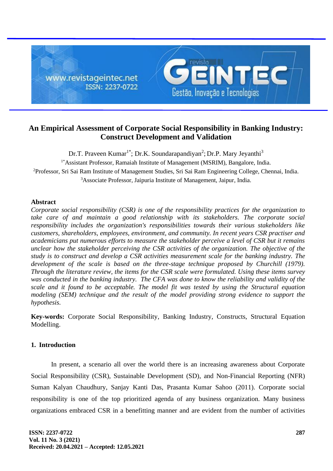

# **An Empirical Assessment of Corporate Social Responsibility in Banking Industry: Construct Development and Validation**

Dr.T. Praveen Kumar<sup>1\*</sup>; Dr.K. Soundarapandiyan<sup>2</sup>; Dr.P. Mary Jeyanthi<sup>3</sup> <sup>1\*</sup>Assistant Professor, Ramaiah Institute of Management (MSRIM), Bangalore, India. <sup>2</sup>Professor, Sri Sai Ram Institute of Management Studies, Sri Sai Ram Engineering College, Chennai, India. <sup>3</sup>Associate Professor, Jaipuria Institute of Management, Jaipur, India.

# **Abstract**

*Corporate social responsibility (CSR) is one of the responsibility practices for the organization to take care of and maintain a good relationship with its stakeholders. The corporate social responsibility includes the organization's responsibilities towards their various stakeholders like customers, shareholders, employees, environment, and community. In recent years CSR practiser and academicians put numerous efforts to measure the stakeholder perceive a level of CSR but it remains unclear how the stakeholder perceiving the CSR activities of the organization. The objective of the study is to construct and develop a CSR activities measurement scale for the banking industry. The*  development of the scale is based on the three-stage technique proposed by Churchill (1979). *Through the literature review, the items for the CSR scale were formulated. Using these items survey was conducted in the banking industry. The CFA was done to know the reliability and validity of the scale and it found to be acceptable. The model fit was tested by using the Structural equation modeling (SEM) technique and the result of the model providing strong evidence to support the hypothesis.*

**Key-words:** Corporate Social Responsibility, Banking Industry, Constructs, Structural Equation Modelling.

# **1. Introduction**

In present, a scenario all over the world there is an increasing awareness about Corporate Social Responsibility (CSR), Sustainable Development (SD), and Non-Financial Reporting (NFR) Suman Kalyan Chaudhury, Sanjay Kanti Das, Prasanta Kumar Sahoo (2011). Corporate social responsibility is one of the top prioritized agenda of any business organization. Many business organizations embraced CSR in a benefitting manner and are evident from the number of activities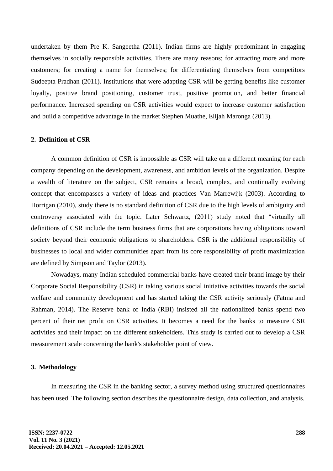undertaken by them Pre K. Sangeetha (2011). Indian firms are highly predominant in engaging themselves in socially responsible activities. There are many reasons; for attracting more and more customers; for creating a name for themselves; for differentiating themselves from competitors Sudeepta Pradhan (2011). Institutions that were adapting CSR will be getting benefits like customer loyalty, positive brand positioning, customer trust, positive promotion, and better financial performance. Increased spending on CSR activities would expect to increase customer satisfaction and build a competitive advantage in the market Stephen Muathe, Elijah Maronga (2013).

# **2. Definition of CSR**

A common definition of CSR is impossible as CSR will take on a different meaning for each company depending on the development, awareness, and ambition levels of the organization. Despite a wealth of literature on the subject, CSR remains a broad, complex, and continually evolving concept that encompasses a variety of ideas and practices Van Marrewijk (2003). According to Horrigan (2010), study there is no standard definition of CSR due to the high levels of ambiguity and controversy associated with the topic. Later Schwartz, (2011) study noted that "virtually all definitions of CSR include the term business firms that are corporations having obligations toward society beyond their economic obligations to shareholders. CSR is the additional responsibility of businesses to local and wider communities apart from its core responsibility of profit maximization are defined by Simpson and Taylor (2013).

Nowadays, many Indian scheduled commercial banks have created their brand image by their Corporate Social Responsibility (CSR) in taking various social initiative activities towards the social welfare and community development and has started taking the CSR activity seriously (Fatma and Rahman, 2014). The Reserve bank of India (RBI) insisted all the nationalized banks spend two percent of their net profit on CSR activities. It becomes a need for the banks to measure CSR activities and their impact on the different stakeholders. This study is carried out to develop a CSR measurement scale concerning the bank's stakeholder point of view.

# **3. Methodology**

In measuring the CSR in the banking sector, a survey method using structured questionnaires has been used. The following section describes the questionnaire design, data collection, and analysis.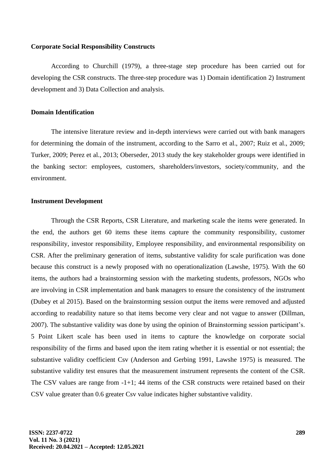#### **Corporate Social Responsibility Constructs**

According to Churchill (1979), a three-stage step procedure has been carried out for developing the CSR constructs. The three-step procedure was 1) Domain identification 2) Instrument development and 3) Data Collection and analysis.

#### **Domain Identification**

The intensive literature review and in-depth interviews were carried out with bank managers for determining the domain of the instrument, according to the Sarro et al., 2007; Ruiz et al., 2009; Turker, 2009; Perez et al., 2013; Oberseder, 2013 study the key stakeholder groups were identified in the banking sector: employees, customers, shareholders/investors, society/community, and the environment.

#### **Instrument Development**

Through the CSR Reports, CSR Literature, and marketing scale the items were generated. In the end, the authors get 60 items these items capture the community responsibility, customer responsibility, investor responsibility, Employee responsibility, and environmental responsibility on CSR. After the preliminary generation of items, substantive validity for scale purification was done because this construct is a newly proposed with no operationalization (Lawshe, 1975). With the 60 items, the authors had a brainstorming session with the marketing students, professors, NGOs who are involving in CSR implementation and bank managers to ensure the consistency of the instrument (Dubey et al 2015). Based on the brainstorming session output the items were removed and adjusted according to readability nature so that items become very clear and not vague to answer (Dillman, 2007). The substantive validity was done by using the opinion of Brainstorming session participant's. 5 Point Likert scale has been used in items to capture the knowledge on corporate social responsibility of the firms and based upon the item rating whether it is essential or not essential; the substantive validity coefficient Csv (Anderson and Gerbing 1991, Lawshe 1975) is measured. The substantive validity test ensures that the measurement instrument represents the content of the CSR. The CSV values are range from -1+1; 44 items of the CSR constructs were retained based on their CSV value greater than 0.6 greater Csv value indicates higher substantive validity.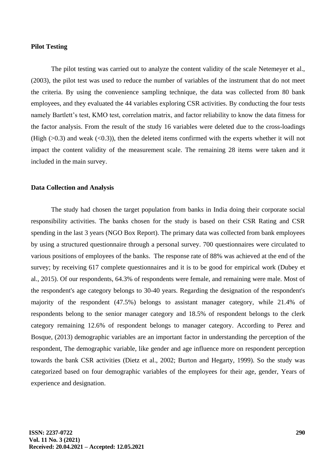### **Pilot Testing**

The pilot testing was carried out to analyze the content validity of the scale Netemeyer et al., (2003), the pilot test was used to reduce the number of variables of the instrument that do not meet the criteria. By using the convenience sampling technique, the data was collected from 80 bank employees, and they evaluated the 44 variables exploring CSR activities. By conducting the four tests namely Bartlett's test, KMO test, correlation matrix, and factor reliability to know the data fitness for the factor analysis. From the result of the study 16 variables were deleted due to the cross-loadings (High  $(>0.3)$  and weak  $( $0.3$ )), then the deleted items confirmed with the experts whether it will not$ impact the content validity of the measurement scale. The remaining 28 items were taken and it included in the main survey.

#### **Data Collection and Analysis**

The study had chosen the target population from banks in India doing their corporate social responsibility activities. The banks chosen for the study is based on their CSR Rating and CSR spending in the last 3 years (NGO Box Report). The primary data was collected from bank employees by using a structured questionnaire through a personal survey. 700 questionnaires were circulated to various positions of employees of the banks. The response rate of 88% was achieved at the end of the survey; by receiving 617 complete questionnaires and it is to be good for empirical work (Dubey et al., 2015). Of our respondents, 64.3% of respondents were female, and remaining were male. Most of the respondent's age category belongs to 30-40 years. Regarding the designation of the respondent's majority of the respondent (47.5%) belongs to assistant manager category, while 21.4% of respondents belong to the senior manager category and 18.5% of respondent belongs to the clerk category remaining 12.6% of respondent belongs to manager category. According to Perez and Bosque, (2013) demographic variables are an important factor in understanding the perception of the respondent, The demographic variable, like gender and age influence more on respondent perception towards the bank CSR activities (Dietz et al., 2002; Burton and Hegarty, 1999). So the study was categorized based on four demographic variables of the employees for their age, gender, Years of experience and designation.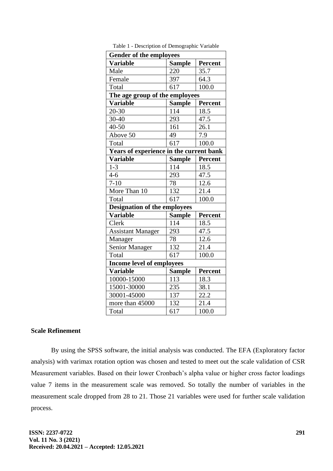| <b>Gender of the employees</b>              |               |                |  |  |  |  |  |  |
|---------------------------------------------|---------------|----------------|--|--|--|--|--|--|
| <b>Sample</b><br>Percent<br><b>Variable</b> |               |                |  |  |  |  |  |  |
| Male                                        | 220           | 35.7           |  |  |  |  |  |  |
| Female                                      | 397           | 64.3           |  |  |  |  |  |  |
| Total                                       | 617           | 100.0          |  |  |  |  |  |  |
| The age group of the employees              |               |                |  |  |  |  |  |  |
| <b>Variable</b>                             | <b>Sample</b> | <b>Percent</b> |  |  |  |  |  |  |
| $20 - 30$                                   | 114           | 18.5           |  |  |  |  |  |  |
| 30-40                                       | 293           | 47.5           |  |  |  |  |  |  |
| 40-50                                       | 161           | 26.1           |  |  |  |  |  |  |
| Above 50                                    | 49            | 7.9            |  |  |  |  |  |  |
| Total                                       | 617           | 100.0          |  |  |  |  |  |  |
| Years of experience in the current bank     |               |                |  |  |  |  |  |  |
| <b>Variable</b>                             | <b>Sample</b> | <b>Percent</b> |  |  |  |  |  |  |
| $1 - 3$                                     | 114           | 18.5           |  |  |  |  |  |  |
| $4 - 6$                                     | 293           | 47.5           |  |  |  |  |  |  |
| $7 - 10$                                    | 78            | 12.6           |  |  |  |  |  |  |
| More Than 10                                | 132           | 21.4           |  |  |  |  |  |  |
| Total                                       | 617           | 100.0          |  |  |  |  |  |  |
| <b>Designation of the employees</b>         |               |                |  |  |  |  |  |  |
| <b>Variable</b>                             | <b>Sample</b> | <b>Percent</b> |  |  |  |  |  |  |
| Clerk                                       | 114           | 18.5           |  |  |  |  |  |  |
| <b>Assistant Manager</b>                    | 293           | 47.5           |  |  |  |  |  |  |
| Manager                                     | 78            | 12.6           |  |  |  |  |  |  |
| <b>Senior Manager</b>                       | 132           | 21.4           |  |  |  |  |  |  |
| Total                                       | 617           | 100.0          |  |  |  |  |  |  |
| <b>Income level of employees</b>            |               |                |  |  |  |  |  |  |
| <b>Variable</b>                             | <b>Sample</b> | <b>Percent</b> |  |  |  |  |  |  |
| 10000-15000                                 | 113           | 18.3           |  |  |  |  |  |  |
| 15001-30000                                 | 235           | 38.1           |  |  |  |  |  |  |
| 30001-45000                                 | 137           | 22.2           |  |  |  |  |  |  |
| more than 45000                             | 132           | 21.4           |  |  |  |  |  |  |
| Total                                       | 617           | 100.0          |  |  |  |  |  |  |

Table 1 - Description of Demographic Variable

# **Scale Refinement**

By using the SPSS software, the initial analysis was conducted. The EFA (Exploratory factor analysis) with varimax rotation option was chosen and tested to meet out the scale validation of CSR Measurement variables. Based on their lower Cronbach's alpha value or higher cross factor loadings value 7 items in the measurement scale was removed. So totally the number of variables in the measurement scale dropped from 28 to 21. Those 21 variables were used for further scale validation process.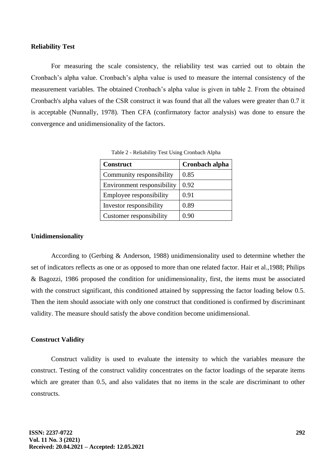#### **Reliability Test**

For measuring the scale consistency, the reliability test was carried out to obtain the Cronbach's alpha value. Cronbach's alpha value is used to measure the internal consistency of the measurement variables. The obtained Cronbach's alpha value is given in table 2. From the obtained Cronbach's alpha values of the CSR construct it was found that all the values were greater than 0.7 it is acceptable (Nunnally, 1978). Then CFA (confirmatory factor analysis) was done to ensure the convergence and unidimensionality of the factors.

| <b>Construct</b>           | Cronbach alpha |  |  |  |
|----------------------------|----------------|--|--|--|
| Community responsibility   | 0.85           |  |  |  |
| Environment responsibility | 0.92           |  |  |  |
| Employee responsibility    | 0.91           |  |  |  |
| Investor responsibility    | 0.89           |  |  |  |
| Customer responsibility    | 0.90           |  |  |  |

Table 2 - Reliability Test Using Cronbach Alpha

#### **Unidimensionality**

According to (Gerbing & Anderson, 1988) unidimensionality used to determine whether the set of indicators reflects as one or as opposed to more than one related factor. Hair et al.,1988; Philips & Bagozzi, 1986 proposed the condition for unidimensionality, first, the items must be associated with the construct significant, this conditioned attained by suppressing the factor loading below 0.5. Then the item should associate with only one construct that conditioned is confirmed by discriminant validity. The measure should satisfy the above condition become unidimensional.

# **Construct Validity**

Construct validity is used to evaluate the intensity to which the variables measure the construct. Testing of the construct validity concentrates on the factor loadings of the separate items which are greater than 0.5, and also validates that no items in the scale are discriminant to other constructs.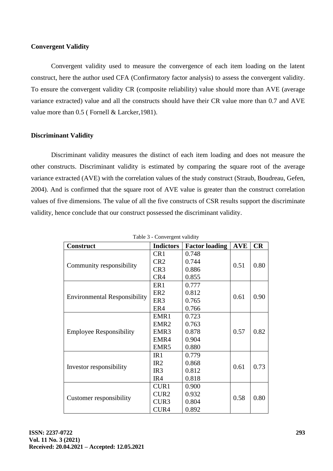# **Convergent Validity**

Convergent validity used to measure the convergence of each item loading on the latent construct, here the author used CFA (Confirmatory factor analysis) to assess the convergent validity. To ensure the convergent validity CR (composite reliability) value should more than AVE (average variance extracted) value and all the constructs should have their CR value more than 0.7 and AVE value more than 0.5 (Fornell & Larcker, 1981).

# **Discriminant Validity**

Discriminant validity measures the distinct of each item loading and does not measure the other constructs. Discriminant validity is estimated by comparing the square root of the average variance extracted (AVE) with the correlation values of the study construct (Straub, Boudreau, Gefen, 2004). And is confirmed that the square root of AVE value is greater than the construct correlation values of five dimensions. The value of all the five constructs of CSR results support the discriminate validity, hence conclude that our construct possessed the discriminant validity.

| <b>Construct</b>                    | <b>Indictors</b>         | <b>Factor loading</b> | <b>AVE</b> | CR   |
|-------------------------------------|--------------------------|-----------------------|------------|------|
| Community responsibility            | CR <sub>1</sub>          | 0.748                 | 0.51       |      |
|                                     | CR <sub>2</sub>          | 0.744                 |            |      |
|                                     | CR <sub>3</sub><br>0.886 |                       |            | 0.80 |
|                                     | CR4                      | 0.855                 |            |      |
| <b>Environmental Responsibility</b> | ER <sub>1</sub>          | 0.777                 |            |      |
|                                     | ER <sub>2</sub>          | 0.812                 | 0.61       | 0.90 |
|                                     | ER3                      | 0.765                 |            |      |
|                                     | ER4                      | 0.766                 |            |      |
| <b>Employee Responsibility</b>      | EMR1                     | 0.723                 |            |      |
|                                     | EMR <sub>2</sub>         | 0.763                 | 0.57       | 0.82 |
|                                     | EMR <sub>3</sub>         | 0.878                 |            |      |
|                                     | EMR4                     | 0.904                 |            |      |
|                                     | EMR <sub>5</sub>         | 0.880                 |            |      |
| Investor responsibility             | IR1                      | 0.779                 |            | 0.73 |
|                                     | IR2                      | 0.868                 | 0.61       |      |
|                                     | IR <sub>3</sub>          | 0.812                 |            |      |
|                                     | IR4                      | 0.818                 |            |      |
| <b>Customer responsibility</b>      | CUR1                     | 0.900                 |            | 0.80 |
|                                     | CUR <sub>2</sub>         | 0.932                 | 0.58       |      |
|                                     | CUR <sub>3</sub>         | 0.804                 |            |      |
|                                     | CUR4                     | 0.892                 |            |      |

Table 3 - Convergent validity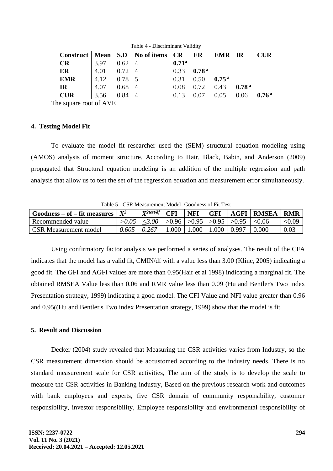| <b>Construct</b>   Mean |      | S.D  | No of items   CR |                   | ER                | $EMR$   IR        |                   | <b>CUR</b>        |
|-------------------------|------|------|------------------|-------------------|-------------------|-------------------|-------------------|-------------------|
| <b>CR</b>               | 3.97 | 0.62 |                  | 0.71 <sup>a</sup> |                   |                   |                   |                   |
| ER                      | 4.01 | 0.72 |                  | 0.33              | 0.78 <sup>a</sup> |                   |                   |                   |
| <b>EMR</b>              | 4.12 | 0.78 |                  | 0.31              | 0.50              | 0.75 <sup>a</sup> |                   |                   |
| <b>IR</b>               | 4.07 | 0.68 |                  | 0.08              | 0.72              | 0.43              | 0.78 <sup>a</sup> |                   |
| <b>CUR</b>              | 3.56 | 0.84 |                  | 0.13              | 0.07              | 0.05              | 0.06              | 0.76 <sup>a</sup> |

Table 4 - Discriminant Validity

The square root of AVE

# **4. Testing Model Fit**

To evaluate the model fit researcher used the (SEM) structural equation modeling using (AMOS) analysis of moment structure. According to Hair, Black, Babin, and Anderson (2009) propagated that Structural equation modeling is an addition of the multiple regression and path analysis that allow us to test the set of the regression equation and measurement error simultaneously.

Table 5 - CSR Measurement Model- Goodness of Fit Test

| $Goodness - of - fit measures$ | $X^2$ | $\mathbf{Y}^{2test/df}$ | $\Gamma$ | NFI   | <b>GFI</b>         |                               | <b>AGFI RMSEA</b> | <b>RMR</b> |
|--------------------------------|-------|-------------------------|----------|-------|--------------------|-------------------------------|-------------------|------------|
| Recommended value              |       | $>0.05$   <3.00         |          |       |                    | >0.96 >0.95 >0.95 >0.95 <0.06 |                   | < 0.09     |
| <b>CSR</b> Measurement model   | 0.605 | 0.267                   | 1.000    | 1.000 | $1.000 \mid 0.997$ |                               | 0.000             | 0.03       |

Using confirmatory factor analysis we performed a series of analyses. The result of the CFA indicates that the model has a valid fit, CMIN/df with a value less than 3.00 (Kline, 2005) indicating a good fit. The GFI and AGFI values are more than 0.95(Hair et al 1998) indicating a marginal fit. The obtained RMSEA Value less than 0.06 and RMR value less than 0.09 (Hu and Bentler's Two index Presentation strategy, 1999) indicating a good model. The CFI Value and NFI value greater than 0.96 and 0.95((Hu and Bentler's Two index Presentation strategy, 1999) show that the model is fit.

# **5. Result and Discussion**

Decker (2004) study revealed that Measuring the CSR activities varies from Industry, so the CSR measurement dimension should be accustomed according to the industry needs, There is no standard measurement scale for CSR activities, The aim of the study is to develop the scale to measure the CSR activities in Banking industry, Based on the previous research work and outcomes with bank employees and experts, five CSR domain of community responsibility, customer responsibility, investor responsibility, Employee responsibility and environmental responsibility of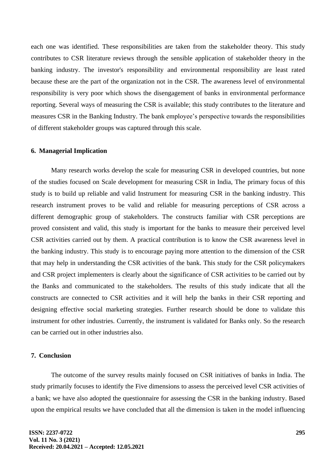each one was identified. These responsibilities are taken from the stakeholder theory. This study contributes to CSR literature reviews through the sensible application of stakeholder theory in the banking industry. The investor's responsibility and environmental responsibility are least rated because these are the part of the organization not in the CSR. The awareness level of environmental responsibility is very poor which shows the disengagement of banks in environmental performance reporting. Several ways of measuring the CSR is available; this study contributes to the literature and measures CSR in the Banking Industry. The bank employee's perspective towards the responsibilities of different stakeholder groups was captured through this scale.

### **6. Managerial Implication**

Many research works develop the scale for measuring CSR in developed countries, but none of the studies focused on Scale development for measuring CSR in India, The primary focus of this study is to build up reliable and valid Instrument for measuring CSR in the banking industry. This research instrument proves to be valid and reliable for measuring perceptions of CSR across a different demographic group of stakeholders. The constructs familiar with CSR perceptions are proved consistent and valid, this study is important for the banks to measure their perceived level CSR activities carried out by them. A practical contribution is to know the CSR awareness level in the banking industry. This study is to encourage paying more attention to the dimension of the CSR that may help in understanding the CSR activities of the bank. This study for the CSR policymakers and CSR project implementers is clearly about the significance of CSR activities to be carried out by the Banks and communicated to the stakeholders. The results of this study indicate that all the constructs are connected to CSR activities and it will help the banks in their CSR reporting and designing effective social marketing strategies. Further research should be done to validate this instrument for other industries. Currently, the instrument is validated for Banks only. So the research can be carried out in other industries also.

# **7. Conclusion**

The outcome of the survey results mainly focused on CSR initiatives of banks in India. The study primarily focuses to identify the Five dimensions to assess the perceived level CSR activities of a bank; we have also adopted the questionnaire for assessing the CSR in the banking industry. Based upon the empirical results we have concluded that all the dimension is taken in the model influencing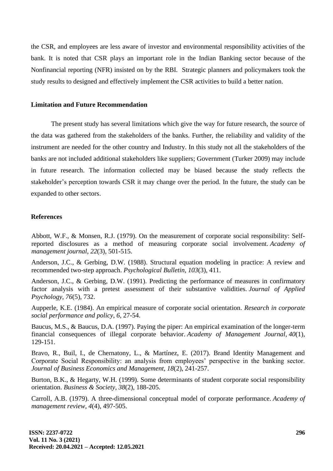the CSR, and employees are less aware of investor and environmental responsibility activities of the bank. It is noted that CSR plays an important role in the Indian Banking sector because of the Nonfinancial reporting (NFR) insisted on by the RBI. Strategic planners and policymakers took the study results to designed and effectively implement the CSR activities to build a better nation.

#### **Limitation and Future Recommendation**

The present study has several limitations which give the way for future research, the source of the data was gathered from the stakeholders of the banks. Further, the reliability and validity of the instrument are needed for the other country and Industry. In this study not all the stakeholders of the banks are not included additional stakeholders like suppliers; Government (Turker 2009) may include in future research. The information collected may be biased because the study reflects the stakeholder's perception towards CSR it may change over the period. In the future, the study can be expanded to other sectors.

#### **References**

Abbott, W.F., & Monsen, R.J. (1979). On the measurement of corporate social responsibility: Selfreported disclosures as a method of measuring corporate social involvement. *Academy of management journal*, *22*(3), 501-515.

Anderson, J.C., & Gerbing, D.W. (1988). Structural equation modeling in practice: A review and recommended two-step approach. *Psychological Bulletin*, *103*(3), 411.

Anderson, J.C., & Gerbing, D.W. (1991). Predicting the performance of measures in confirmatory factor analysis with a pretest assessment of their substantive validities. *Journal of Applied Psychology*, *76*(5), 732.

Aupperle, K.E. (1984). An empirical measure of corporate social orientation. *Research in corporate social performance and policy*, *6*, 27-54.

Baucus, M.S., & Baucus, D.A. (1997). Paying the piper: An empirical examination of the longer-term financial consequences of illegal corporate behavior. *Academy of Management Journal*, *40*(1), 129-151.

Bravo, R., Buil, I., de Chernatony, L., & Martínez, E. (2017). Brand Identity Management and Corporate Social Responsibility: an analysis from employees' perspective in the banking sector. *Journal of Business Economics and Management, 18*(2), 241-257.

Burton, B.K., & Hegarty, W.H. (1999). Some determinants of student corporate social responsibility orientation. *Business & Society*, *38*(2), 188-205.

Carroll, A.B. (1979). A three-dimensional conceptual model of corporate performance. *Academy of management review*, *4*(4), 497-505.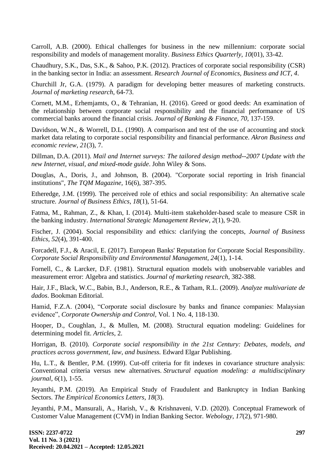Carroll, A.B. (2000). Ethical challenges for business in the new millennium: corporate social responsibility and models of management morality. *Business Ethics Quarterly*, *10*(01), 33-42.

Chaudhury, S.K., Das, S.K., & Sahoo, P.K. (2012). Practices of corporate social responsibility (CSR) in the banking sector in India: an assessment. *Research Journal of Economics, Business and ICT*, *4*.

Churchill Jr, G.A. (1979). A paradigm for developing better measures of marketing constructs. *Journal of marketing research*, 64-73.

Cornett, M.M., Erhemjamts, O., & Tehranian, H. (2016). Greed or good deeds: An examination of the relationship between corporate social responsibility and the financial performance of US commercial banks around the financial crisis. *Journal of Banking & Finance, 70,* 137-159.

Davidson, W.N., & Worrell, D.L. (1990). A comparison and test of the use of accounting and stock market data relating to corporate social responsibility and financial performance. *Akron Business and economic review*, *21*(3), 7.

Dillman, D.A. (2011). *Mail and Internet surveys: The tailored design method--2007 Update with the new Internet, visual, and mixed-mode guide*. John Wiley & Sons.

Douglas, A., Doris, J., and Johnson, B. (2004). "Corporate social reporting in Irish financial institutions", *The TQM Magazine,* 16(6), 387-395.

Etheredge, J.M. (1999). The perceived role of ethics and social responsibility: An alternative scale structure. *Journal of Business Ethics*, *18*(1), 51-64.

Fatma, M., Rahman, Z., & Khan, I. (2014). Multi-item stakeholder-based scale to measure CSR in the banking industry. *International Strategic Management Review*, *2*(1), 9-20.

Fischer, J. (2004). Social responsibility and ethics: clarifying the concepts, *Journal of Business Ethics, 52*(4), 391-400.

Forcadell, F.J., & Aracil, E. (2017). European Banks' Reputation for Corporate Social Responsibility. *Corporate Social Responsibility and Environmental Management, 24*(1), 1-14.

Fornell, C., & Larcker, D.F. (1981). Structural equation models with unobservable variables and measurement error: Algebra and statistics. *Journal of marketing research*, 382-388.

Hair, J.F., Black, W.C., Babin, B.J., Anderson, R.E., & Tatham, R.L. (2009). *Analyze multivariate de dados*. Bookman Editorial.

Hamid, F.Z.A. (2004), "Corporate social disclosure by banks and finance companies: Malaysian evidence", *Corporate Ownership and Control,* Vol. 1 No. 4, 118-130.

Hooper, D., Coughlan, J., & Mullen, M. (2008). Structural equation modeling: Guidelines for determining model fit. *Articles*, 2.

Horrigan, B. (2010). *Corporate social responsibility in the 21st Century: Debates, models, and practices across government, law, and business.* Edward Elgar Publishing.

Hu, L.T., & Bentler, P.M. (1999). Cut-off criteria for fit indexes in covariance structure analysis: Conventional criteria versus new alternatives. *Structural equation modeling: a multidisciplinary journal*, *6*(1), 1-55.

Jeyanthi, P.M. (2019). An Empirical Study of Fraudulent and Bankruptcy in Indian Banking Sectors. *The Empirical Economics Letters, 18*(3).

Jeyanthi, P.M., Mansurali, A., Harish, V., & Krishnaveni, V.D. (2020). Conceptual Framework of Customer Value Management (CVM) in Indian Banking Sector. *Webology*, *17*(2), 971-980.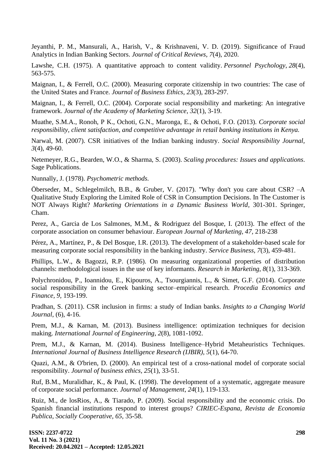Jeyanthi, P. M., Mansurali, A., Harish, V., & Krishnaveni, V. D. (2019). Significance of Fraud Analytics in Indian Banking Sectors. *Journal of Critical Reviews*, *7*(4), 2020.

Lawshe, C.H. (1975). A quantitative approach to content validity. *Personnel Psychology*, *28*(4), 563-575.

Maignan, I., & Ferrell, O.C. (2000). Measuring corporate citizenship in two countries: The case of the United States and France. *Journal of Business Ethics*, *23*(3), 283-297.

Maignan, I., & Ferrell, O.C. (2004). Corporate social responsibility and marketing: An integrative framework. *Journal of the Academy of Marketing Science*, *32*(1), 3-19.

Muathe, S.M.A., Ronoh, P K., Ochoti, G.N., Maronga, E., & Ochoti, F.O. (2013). *Corporate social responsibility, client satisfaction, and competitive advantage in retail banking institutions in Kenya.*

Narwal, M. (2007). CSR initiatives of the Indian banking industry. *Social Responsibility Journal, 3*(4), 49-60.

Netemeyer, R.G., Bearden, W.O., & Sharma, S. (2003). *Scaling procedures: Issues and applications*. Sage Publications.

Nunnally, J. (1978). *Psychometric methods.*

Öberseder, M., Schlegelmilch, B.B., & Gruber, V. (2017). "Why don't you care about CSR? –A Qualitative Study Exploring the Limited Role of CSR in Consumption Decisions. In The Customer is NOT Always Right? *Marketing Orientations in a Dynamic Business World,* 301-301. Springer, Cham.

Perez, A., Garcia de Los Salmones, M.M., & Rodriguez del Bosque, I. (2013). The effect of the corporate association on consumer behaviour. *European Journal of Marketing, 47,* 218-238

Pérez, A., Martínez, P., & Del Bosque, I.R. (2013). The development of a stakeholder-based scale for measuring corporate social responsibility in the banking industry. *Service Business*, *7*(3), 459-481.

Phillips, L.W., & Bagozzi, R.P. (1986). On measuring organizational properties of distribution channels: methodological issues in the use of key informants. *Research in Marketing*, *8*(1), 313-369.

Polychronidou, P., Ioannidou, E., Kipouros, A., Tsourgiannis, L., & Simet, G.F. (2014). Corporate social responsibility in the Greek banking sector–empirical research. *Procedia Economics and Finance, 9,* 193-199.

Pradhan, S. (2011). CSR inclusion in firms: a study of Indian banks. *Insights to a Changing World Journal*, (6), 4-16.

Prem, M.J., & Karnan, M. (2013). Business intelligence: optimization techniques for decision making. *International Journal of Engineering*, *2*(8), 1081-1092.

Prem, M.J., & Karnan, M. (2014). Business Intelligence–Hybrid Metaheuristics Techniques. *International Journal of Business Intelligence Research (IJBIR)*, *5*(1), 64-70.

Quazi, A.M., & O'brien, D. (2000). An empirical test of a cross-national model of corporate social responsibility. *Journal of business ethics*, *25*(1), 33-51.

Ruf, B.M., Muralidhar, K., & Paul, K. (1998). The development of a systematic, aggregate measure of corporate social performance. *Journal of Management*, *24*(1), 119-133.

Ruiz, M., de losRios, A., & Tiarado, P. (2009). Social responsibility and the economic crisis. Do Spanish financial institutions respond to interest groups? *CIRIEC-Espana, Revista de Economia Publica, Socially Cooperative, 65,* 35-58.